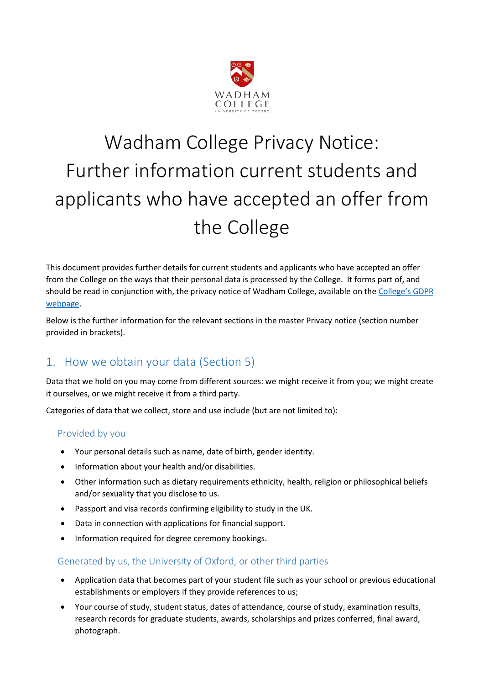

# Wadham College Privacy Notice: Further information current students and applicants who have accepted an offer from the College

This document provides further details for current students and applicants who have accepted an offer from the College on the ways that their personal data is processed by the College. It forms part of, and should be read in conjunction with, the privacy notice of Wadham College, available on the [College's GDPR](https://www.wadham.ox.ac.uk/governance/wadham-college-gdpr-framework)  [webpage.](https://www.wadham.ox.ac.uk/governance/wadham-college-gdpr-framework)

Below is the further information for the relevant sections in the master Privacy notice (section number provided in brackets).

# 1. How we obtain your data (Section 5)

Data that we hold on you may come from different sources: we might receive it from you; we might create it ourselves, or we might receive it from a third party.

Categories of data that we collect, store and use include (but are not limited to):

## Provided by you

- Your personal details such as name, date of birth, gender identity.
- Information about your health and/or disabilities.
- Other information such as dietary requirements ethnicity, health, religion or philosophical beliefs and/or sexuality that you disclose to us.
- Passport and visa records confirming eligibility to study in the UK.
- Data in connection with applications for financial support.
- Information required for degree ceremony bookings.

### Generated by us, the University of Oxford, or other third parties

- Application data that becomes part of your student file such as your school or previous educational establishments or employers if they provide references to us;
- Your course of study, student status, dates of attendance, course of study, examination results, research records for graduate students, awards, scholarships and prizes conferred, final award, photograph.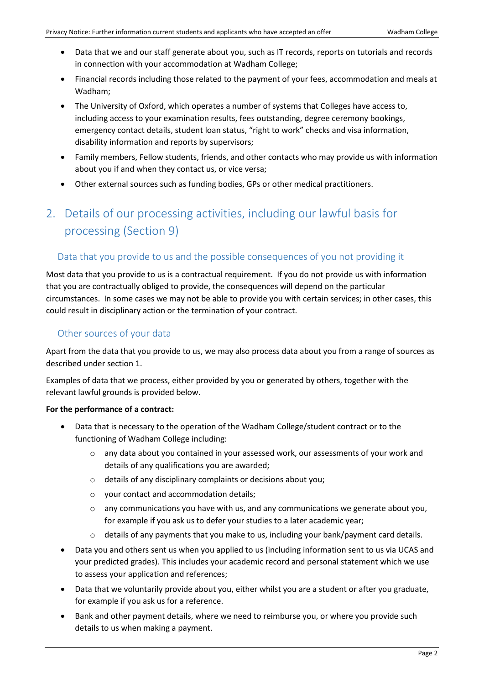- Data that we and our staff generate about you, such as IT records, reports on tutorials and records in connection with your accommodation at Wadham College;
- Financial records including those related to the payment of your fees, accommodation and meals at Wadham;
- The University of Oxford, which operates a number of systems that Colleges have access to, including access to your examination results, fees outstanding, degree ceremony bookings, emergency contact details, student loan status, "right to work" checks and visa information, disability information and reports by supervisors;
- Family members, Fellow students, friends, and other contacts who may provide us with information about you if and when they contact us, or vice versa;
- Other external sources such as funding bodies, GPs or other medical practitioners.

# 2. Details of our processing activities, including our lawful basis for processing (Section 9)

## Data that you provide to us and the possible consequences of you not providing it

Most data that you provide to us is a contractual requirement. If you do not provide us with information that you are contractually obliged to provide, the consequences will depend on the particular circumstances. In some cases we may not be able to provide you with certain services; in other cases, this could result in disciplinary action or the termination of your contract.

## Other sources of your data

Apart from the data that you provide to us, we may also process data about you from a range of sources as described under section 1.

Examples of data that we process, either provided by you or generated by others, together with the relevant lawful grounds is provided below.

#### **For the performance of a contract:**

- Data that is necessary to the operation of the Wadham College/student contract or to the functioning of Wadham College including:
	- o any data about you contained in your assessed work, our assessments of your work and details of any qualifications you are awarded;
	- o details of any disciplinary complaints or decisions about you;
	- o your contact and accommodation details;
	- o any communications you have with us, and any communications we generate about you, for example if you ask us to defer your studies to a later academic year;
	- o details of any payments that you make to us, including your bank/payment card details.
- Data you and others sent us when you applied to us (including information sent to us via UCAS and your predicted grades). This includes your academic record and personal statement which we use to assess your application and references;
- Data that we voluntarily provide about you, either whilst you are a student or after you graduate, for example if you ask us for a reference.
- Bank and other payment details, where we need to reimburse you, or where you provide such details to us when making a payment.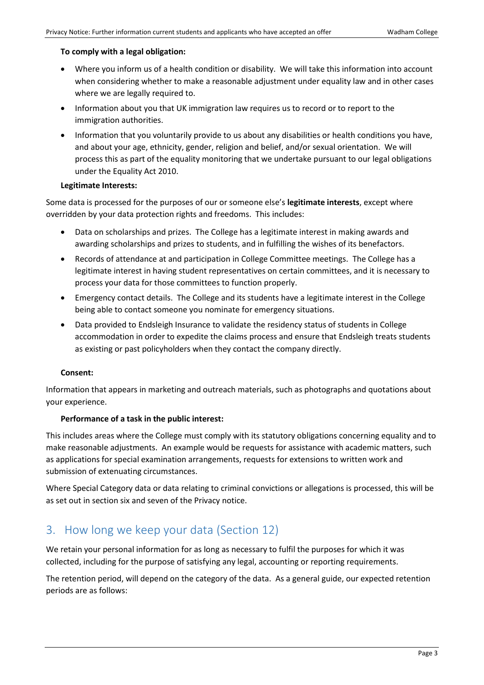#### **To comply with a legal obligation:**

- Where you inform us of a health condition or disability. We will take this information into account when considering whether to make a reasonable adjustment under equality law and in other cases where we are legally required to.
- Information about you that UK immigration law requires us to record or to report to the immigration authorities.
- Information that you voluntarily provide to us about any disabilities or health conditions you have, and about your age, ethnicity, gender, religion and belief, and/or sexual orientation. We will process this as part of the equality monitoring that we undertake pursuant to our legal obligations under the Equality Act 2010.

#### **Legitimate Interests:**

Some data is processed for the purposes of our or someone else's **legitimate interests**, except where overridden by your data protection rights and freedoms. This includes:

- Data on scholarships and prizes. The College has a legitimate interest in making awards and awarding scholarships and prizes to students, and in fulfilling the wishes of its benefactors.
- Records of attendance at and participation in College Committee meetings. The College has a legitimate interest in having student representatives on certain committees, and it is necessary to process your data for those committees to function properly.
- Emergency contact details. The College and its students have a legitimate interest in the College being able to contact someone you nominate for emergency situations.
- Data provided to Endsleigh Insurance to validate the residency status of students in College accommodation in order to expedite the claims process and ensure that Endsleigh treats students as existing or past policyholders when they contact the company directly.

#### **Consent:**

Information that appears in marketing and outreach materials, such as photographs and quotations about your experience.

#### **Performance of a task in the public interest:**

This includes areas where the College must comply with its statutory obligations concerning equality and to make reasonable adjustments. An example would be requests for assistance with academic matters, such as applications for special examination arrangements, requests for extensions to written work and submission of extenuating circumstances.

Where Special Category data or data relating to criminal convictions or allegations is processed, this will be as set out in section six and seven of the Privacy notice.

## 3. How long we keep your data (Section 12)

We retain your personal information for as long as necessary to fulfil the purposes for which it was collected, including for the purpose of satisfying any legal, accounting or reporting requirements.

The retention period, will depend on the category of the data. As a general guide, our expected retention periods are as follows: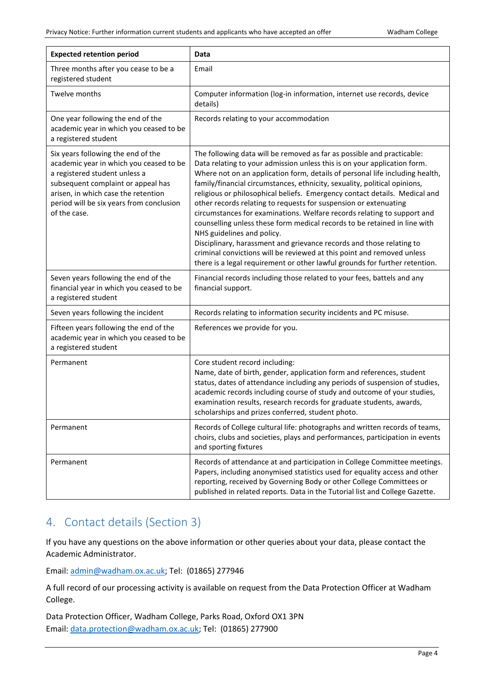| <b>Expected retention period</b>                                                                                                                                                                                                                        | Data                                                                                                                                                                                                                                                                                                                                                                                                                                                                                                                                                                                                                                                                                                                                                                                                                                                                                     |
|---------------------------------------------------------------------------------------------------------------------------------------------------------------------------------------------------------------------------------------------------------|------------------------------------------------------------------------------------------------------------------------------------------------------------------------------------------------------------------------------------------------------------------------------------------------------------------------------------------------------------------------------------------------------------------------------------------------------------------------------------------------------------------------------------------------------------------------------------------------------------------------------------------------------------------------------------------------------------------------------------------------------------------------------------------------------------------------------------------------------------------------------------------|
| Three months after you cease to be a<br>registered student                                                                                                                                                                                              | Email                                                                                                                                                                                                                                                                                                                                                                                                                                                                                                                                                                                                                                                                                                                                                                                                                                                                                    |
| Twelve months                                                                                                                                                                                                                                           | Computer information (log-in information, internet use records, device<br>details)                                                                                                                                                                                                                                                                                                                                                                                                                                                                                                                                                                                                                                                                                                                                                                                                       |
| One year following the end of the<br>academic year in which you ceased to be<br>a registered student                                                                                                                                                    | Records relating to your accommodation                                                                                                                                                                                                                                                                                                                                                                                                                                                                                                                                                                                                                                                                                                                                                                                                                                                   |
| Six years following the end of the<br>academic year in which you ceased to be<br>a registered student unless a<br>subsequent complaint or appeal has<br>arisen, in which case the retention<br>period will be six years from conclusion<br>of the case. | The following data will be removed as far as possible and practicable:<br>Data relating to your admission unless this is on your application form.<br>Where not on an application form, details of personal life including health,<br>family/financial circumstances, ethnicity, sexuality, political opinions,<br>religious or philosophical beliefs. Emergency contact details. Medical and<br>other records relating to requests for suspension or extenuating<br>circumstances for examinations. Welfare records relating to support and<br>counselling unless these form medical records to be retained in line with<br>NHS guidelines and policy.<br>Disciplinary, harassment and grievance records and those relating to<br>criminal convictions will be reviewed at this point and removed unless<br>there is a legal requirement or other lawful grounds for further retention. |
| Seven years following the end of the<br>financial year in which you ceased to be<br>a registered student                                                                                                                                                | Financial records including those related to your fees, battels and any<br>financial support.                                                                                                                                                                                                                                                                                                                                                                                                                                                                                                                                                                                                                                                                                                                                                                                            |
| Seven years following the incident                                                                                                                                                                                                                      | Records relating to information security incidents and PC misuse.                                                                                                                                                                                                                                                                                                                                                                                                                                                                                                                                                                                                                                                                                                                                                                                                                        |
| Fifteen years following the end of the<br>academic year in which you ceased to be<br>a registered student                                                                                                                                               | References we provide for you.                                                                                                                                                                                                                                                                                                                                                                                                                                                                                                                                                                                                                                                                                                                                                                                                                                                           |
| Permanent                                                                                                                                                                                                                                               | Core student record including:<br>Name, date of birth, gender, application form and references, student<br>status, dates of attendance including any periods of suspension of studies,<br>academic records including course of study and outcome of your studies,<br>examination results, research records for graduate students, awards,<br>scholarships and prizes conferred, student photo.                                                                                                                                                                                                                                                                                                                                                                                                                                                                                           |
| Permanent                                                                                                                                                                                                                                               | Records of College cultural life: photographs and written records of teams,<br>choirs, clubs and societies, plays and performances, participation in events<br>and sporting fixtures                                                                                                                                                                                                                                                                                                                                                                                                                                                                                                                                                                                                                                                                                                     |
| Permanent                                                                                                                                                                                                                                               | Records of attendance at and participation in College Committee meetings.<br>Papers, including anonymised statistics used for equality access and other<br>reporting, received by Governing Body or other College Committees or<br>published in related reports. Data in the Tutorial list and College Gazette.                                                                                                                                                                                                                                                                                                                                                                                                                                                                                                                                                                          |

## 4. Contact details (Section 3)

If you have any questions on the above information or other queries about your data, please contact the Academic Administrator.

Email[: admin@wadham.ox.ac.uk;](mailto:admin@wadham.ox.ac.uk) Tel: (01865) 277946

A full record of our processing activity is available on request from the Data Protection Officer at Wadham College.

Data Protection Officer, Wadham College, Parks Road, Oxford OX1 3PN Email[: data.protection@wadham.ox.ac.uk;](mailto:data.protection@wadham.ox.ac.uk) Tel: (01865) 277900